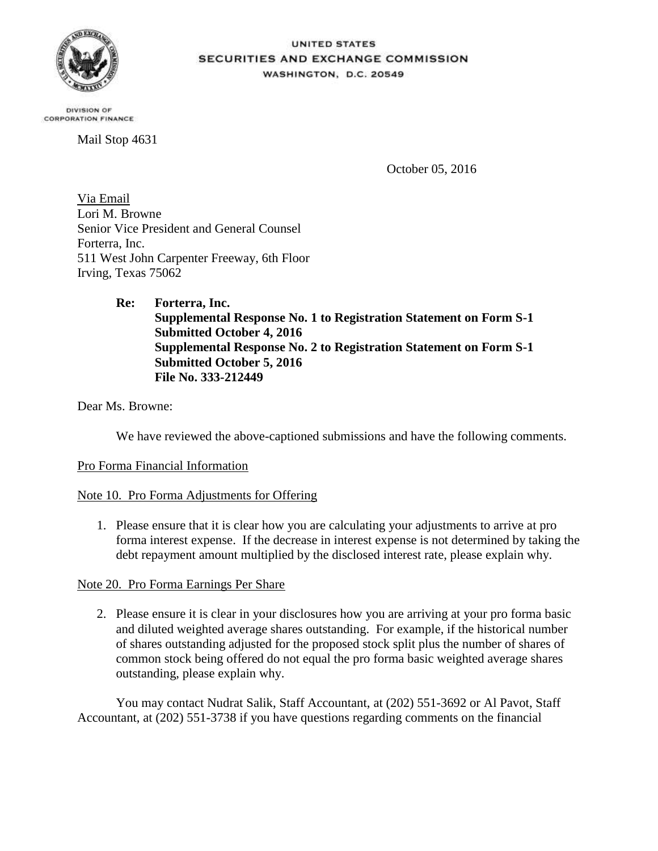

## UNITED STATES **SECURITIES AND EXCHANGE COMMISSION** WASHINGTON, D.C. 20549

DIVISION OF **CORPORATION FINANCE** 

Mail Stop 4631

October 05, 2016

Via Email Lori M. Browne Senior Vice President and General Counsel Forterra, Inc. 511 West John Carpenter Freeway, 6th Floor Irving, Texas 75062

> **Re: Forterra, Inc. Supplemental Response No. 1 to Registration Statement on Form S-1 Submitted October 4, 2016 Supplemental Response No. 2 to Registration Statement on Form S-1 Submitted October 5, 2016 File No. 333-212449**

Dear Ms. Browne:

We have reviewed the above-captioned submissions and have the following comments.

## Pro Forma Financial Information

## Note 10. Pro Forma Adjustments for Offering

1. Please ensure that it is clear how you are calculating your adjustments to arrive at pro forma interest expense. If the decrease in interest expense is not determined by taking the debt repayment amount multiplied by the disclosed interest rate, please explain why.

## Note 20. Pro Forma Earnings Per Share

2. Please ensure it is clear in your disclosures how you are arriving at your pro forma basic and diluted weighted average shares outstanding. For example, if the historical number of shares outstanding adjusted for the proposed stock split plus the number of shares of common stock being offered do not equal the pro forma basic weighted average shares outstanding, please explain why.

You may contact Nudrat Salik, Staff Accountant, at (202) 551-3692 or Al Pavot, Staff Accountant, at (202) 551-3738 if you have questions regarding comments on the financial